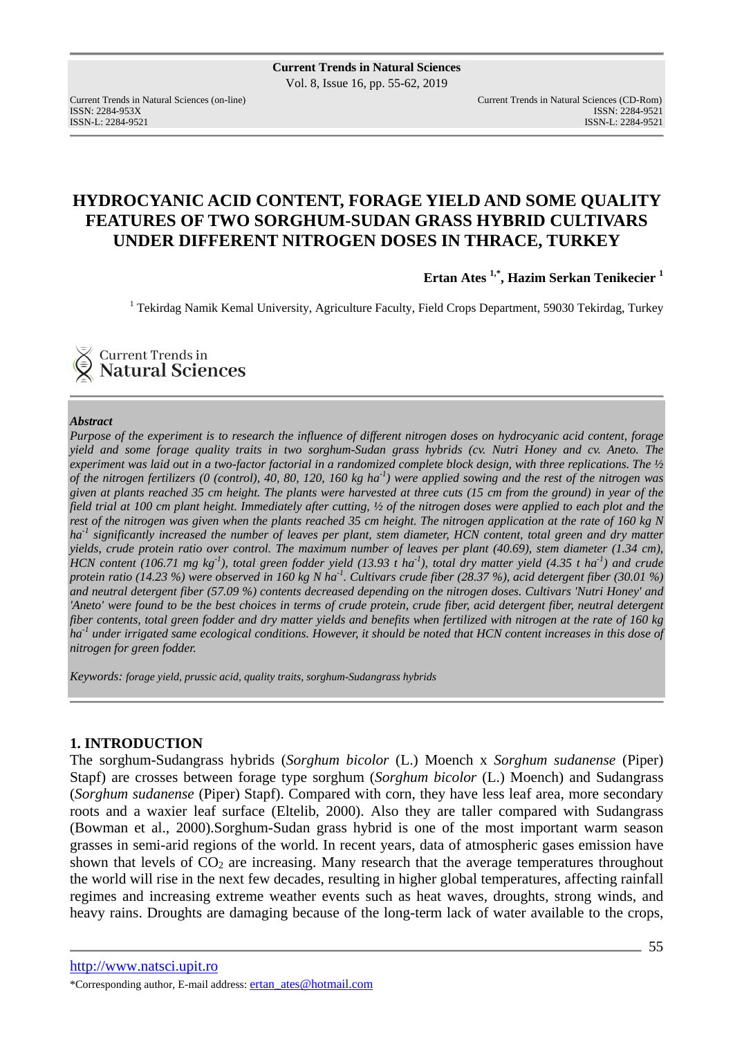Current Trends in Natural Sciences (on-line) Current Trends in Natural Sciences (CD-Rom) ISSN: 2284-953XISSN: 2284-9521 ISSN-L: 2284-9521 ISSN-L: 2284-9521

# **HYDROCYANIC ACID CONTENT, FORAGE YIELD AND SOME QUALITY FEATURES OF TWO SORGHUM-SUDAN GRASS HYBRID CULTIVARS UNDER DIFFERENT NITROGEN DOSES IN THRACE, TURKEY**

**Ertan Ates 1,\*, Hazim Serkan Tenikecier <sup>1</sup>**

<sup>1</sup> Tekirdag Namik Kemal University, Agriculture Faculty, Field Crops Department, 59030 Tekirdag, Turkey

Current Trends in **Natural Sciences** 

#### *Abstract*

*Purpose of the experiment is to research the influence of different nitrogen doses on hydrocyanic acid content, forage yield and some forage quality traits in two sorghum-Sudan grass hybrids (cv. Nutri Honey and cv. Aneto. The experiment was laid out in a two-factor factorial in a randomized complete block design, with three replications. The ½ of the nitrogen fertilizers (0 (control), 40, 80, 120, 160 kg ha-1) were applied sowing and the rest of the nitrogen was given at plants reached 35 cm height. The plants were harvested at three cuts (15 cm from the ground) in year of the field trial at 100 cm plant height. Immediately after cutting, ½ of the nitrogen doses were applied to each plot and the rest of the nitrogen was given when the plants reached 35 cm height. The nitrogen application at the rate of 160 kg N ha-1 significantly increased the number of leaves per plant, stem diameter, HCN content, total green and dry matter yields, crude protein ratio over control. The maximum number of leaves per plant (40.69), stem diameter (1.34 cm), HCN content (106.71 mg kg-1), total green fodder yield (13.93 t ha-1), total dry matter yield (4.35 t ha-1) and crude protein ratio (14.23 %) were observed in 160 kg N ha -1. Cultivars crude fiber (28.37 %), acid detergent fiber (30.01 %) and neutral detergent fiber (57.09 %) contents decreased depending on the nitrogen doses. Cultivars 'Nutri Honey' and 'Aneto' were found to be the best choices in terms of crude protein, crude fiber, acid detergent fiber, neutral detergent fiber contents, total green fodder and dry matter yields and benefits when fertilized with nitrogen at the rate of 160 kg ha-1 under irrigated same ecological conditions. However, it should be noted that HCN content increases in this dose of nitrogen for green fodder.* 

*Keywords: forage yield, prussic acid, quality traits, sorghum-Sudangrass hybrids*

# **1. INTRODUCTION**

The sorghum-Sudangrass hybrids (*Sorghum bicolor* (L.) Moench x *Sorghum sudanense* (Piper) Stapf) are crosses between forage type sorghum (*Sorghum bicolor* (L.) Moench) and Sudangrass (*Sorghum sudanense* (Piper) Stapf). Compared with corn, they have less leaf area, more secondary roots and a waxier leaf surface (Eltelib, 2000). Also they are taller compared with Sudangrass (Bowman et al., 2000).Sorghum-Sudan grass hybrid is one of the most important warm season grasses in semi-arid regions of the world. In recent years, data of atmospheric gases emission have shown that levels of  $CO<sub>2</sub>$  are increasing. Many research that the average temperatures throughout the world will rise in the next few decades, resulting in higher global temperatures, affecting rainfall regimes and increasing extreme weather events such as heat waves, droughts, strong winds, and heavy rains. Droughts are damaging because of the long-term lack of water available to the crops,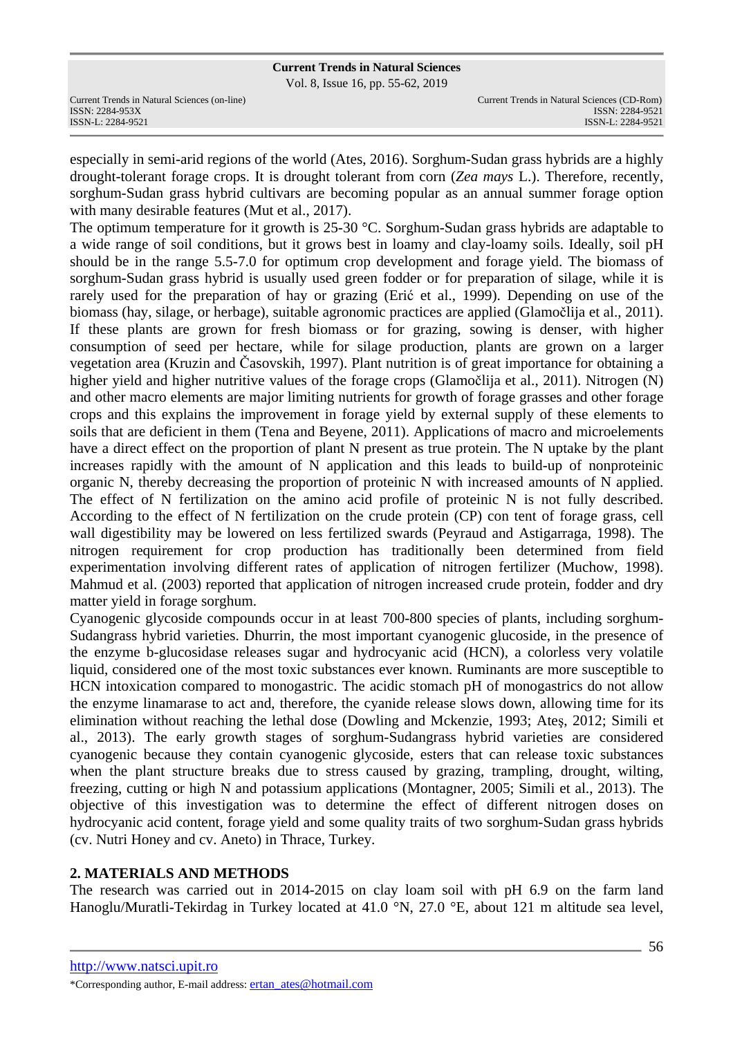Vol. 8, Issue 16, pp. 55-62, 2019

ISSN-L: 2284-9521 ISSN-L: 2284-9521

especially in semi-arid regions of the world (Ates, 2016). Sorghum-Sudan grass hybrids are a highly drought-tolerant forage crops. It is drought tolerant from corn (*Zea mays* L.). Therefore, recently, sorghum-Sudan grass hybrid cultivars are becoming popular as an annual summer forage option with many desirable features (Mut et al., 2017).

The optimum temperature for it growth is 25-30 °C. Sorghum-Sudan grass hybrids are adaptable to a wide range of soil conditions, but it grows best in loamy and clay-loamy soils. Ideally, soil pH should be in the range 5.5-7.0 for optimum crop development and forage yield. The biomass of sorghum-Sudan grass hybrid is usually used green fodder or for preparation of silage, while it is rarely used for the preparation of hay or grazing (Erić et al., 1999). Depending on use of the biomass (hay, silage, or herbage), suitable agronomic practices are applied (Glamočlija et al., 2011). If these plants are grown for fresh biomass or for grazing, sowing is denser, with higher consumption of seed per hectare, while for silage production, plants are grown on a larger vegetation area (Kruzin and Časovskih, 1997). Plant nutrition is of great importance for obtaining a higher yield and higher nutritive values of the forage crops (Glamočlija et al., 2011). Nitrogen (N) and other macro elements are major limiting nutrients for growth of forage grasses and other forage crops and this explains the improvement in forage yield by external supply of these elements to soils that are deficient in them (Tena and Beyene, 2011). Applications of macro and microelements have a direct effect on the proportion of plant N present as true protein. The N uptake by the plant increases rapidly with the amount of N application and this leads to build-up of nonproteinic organic N, thereby decreasing the proportion of proteinic N with increased amounts of N applied. The effect of N fertilization on the amino acid profile of proteinic N is not fully described. According to the effect of N fertilization on the crude protein (CP) con tent of forage grass, cell wall digestibility may be lowered on less fertilized swards (Peyraud and Astigarraga, 1998). The nitrogen requirement for crop production has traditionally been determined from field experimentation involving different rates of application of nitrogen fertilizer (Muchow, 1998). Mahmud et al. (2003) reported that application of nitrogen increased crude protein, fodder and dry matter yield in forage sorghum.

Cyanogenic glycoside compounds occur in at least 700-800 species of plants, including sorghum-Sudangrass hybrid varieties. Dhurrin, the most important cyanogenic glucoside, in the presence of the enzyme b-glucosidase releases sugar and hydrocyanic acid (HCN), a colorless very volatile liquid, considered one of the most toxic substances ever known. Ruminants are more susceptible to HCN intoxication compared to monogastric. The acidic stomach pH of monogastrics do not allow the enzyme linamarase to act and, therefore, the cyanide release slows down, allowing time for its elimination without reaching the lethal dose (Dowling and Mckenzie, 1993; Ateş, 2012; Simili et al., 2013). The early growth stages of sorghum-Sudangrass hybrid varieties are considered cyanogenic because they contain cyanogenic glycoside, esters that can release toxic substances when the plant structure breaks due to stress caused by grazing, trampling, drought, wilting, freezing, cutting or high N and potassium applications (Montagner, 2005; Simili et al., 2013). The objective of this investigation was to determine the effect of different nitrogen doses on hydrocyanic acid content, forage yield and some quality traits of two sorghum-Sudan grass hybrids (cv. Nutri Honey and cv. Aneto) in Thrace, Turkey.

# **2. MATERIALS AND METHODS**

The research was carried out in 2014-2015 on clay loam soil with pH 6.9 on the farm land Hanoglu/Muratli-Tekirdag in Turkey located at 41.0 °N, 27.0 °E, about 121 m altitude sea level,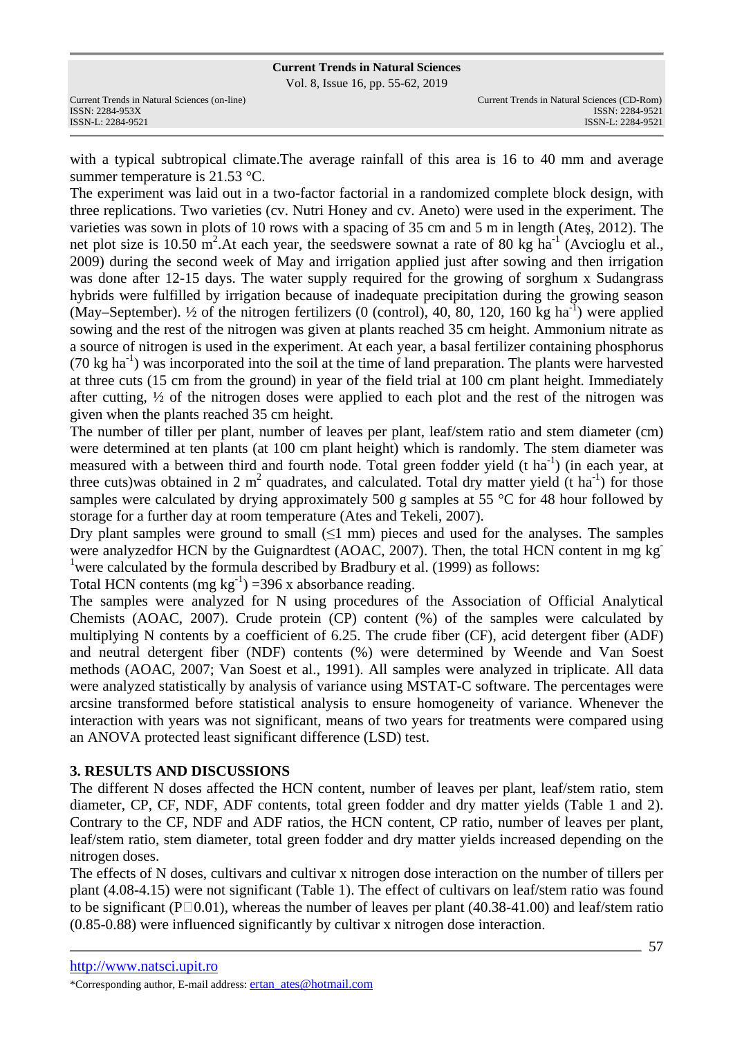Vol. 8, Issue 16, pp. 55-62, 2019

with a typical subtropical climate.The average rainfall of this area is 16 to 40 mm and average summer temperature is 21.53 °C.

The experiment was laid out in a two-factor factorial in a randomized complete block design, with three replications. Two varieties (cv. Nutri Honey and cv. Aneto) were used in the experiment. The varieties was sown in plots of 10 rows with a spacing of 35 cm and 5 m in length (Ateş, 2012). The net plot size is 10.50  $\text{m}^2$ . At each year, the seedswere sownat a rate of 80 kg ha<sup>-1</sup> (Avcioglu et al., 2009) during the second week of May and irrigation applied just after sowing and then irrigation was done after 12-15 days. The water supply required for the growing of sorghum x Sudangrass hybrids were fulfilled by irrigation because of inadequate precipitation during the growing season (May–September). <sup>1</sup>/<sub>2</sub> of the nitrogen fertilizers (0 (control), 40, 80, 120, 160 kg ha<sup>-1</sup>) were applied sowing and the rest of the nitrogen was given at plants reached 35 cm height. Ammonium nitrate as a source of nitrogen is used in the experiment. At each year, a basal fertilizer containing phosphorus (70 kg ha<sup>-1</sup>) was incorporated into the soil at the time of land preparation. The plants were harvested at three cuts (15 cm from the ground) in year of the field trial at 100 cm plant height. Immediately after cutting, ½ of the nitrogen doses were applied to each plot and the rest of the nitrogen was given when the plants reached 35 cm height.

The number of tiller per plant, number of leaves per plant, leaf/stem ratio and stem diameter (cm) were determined at ten plants (at 100 cm plant height) which is randomly. The stem diameter was measured with a between third and fourth node. Total green fodder yield (t ha<sup>-1</sup>) (in each year, at three cuts)was obtained in 2  $m^2$  quadrates, and calculated. Total dry matter yield (t ha<sup>-1</sup>) for those samples were calculated by drying approximately 500 g samples at 55 °C for 48 hour followed by storage for a further day at room temperature (Ates and Tekeli, 2007).

Dry plant samples were ground to small  $(51 \text{ mm})$  pieces and used for the analyses. The samples were analyzedfor HCN by the Guignardtest (AOAC, 2007). Then, the total HCN content in mg kg<sup>-</sup> <sup>1</sup> were calculated by the formula described by Bradbury et al. (1999) as follows:

Total HCN contents (mg  $kg^{-1}$ ) =396 x absorbance reading.

The samples were analyzed for N using procedures of the Association of Official Analytical Chemists (AOAC, 2007). Crude protein (CP) content (%) of the samples were calculated by multiplying N contents by a coefficient of 6.25. The crude fiber (CF), acid detergent fiber (ADF) and neutral detergent fiber (NDF) contents (%) were determined by Weende and Van Soest methods (AOAC, 2007; Van Soest et al., 1991). All samples were analyzed in triplicate. All data were analyzed statistically by analysis of variance using MSTAT-C software. The percentages were arcsine transformed before statistical analysis to ensure homogeneity of variance. Whenever the interaction with years was not significant, means of two years for treatments were compared using an ANOVA protected least significant difference (LSD) test.

# **3. RESULTS AND DISCUSSIONS**

The different N doses affected the HCN content, number of leaves per plant, leaf/stem ratio, stem diameter, CP, CF, NDF, ADF contents, total green fodder and dry matter yields (Table 1 and 2). Contrary to the CF, NDF and ADF ratios, the HCN content, CP ratio, number of leaves per plant, leaf/stem ratio, stem diameter, total green fodder and dry matter yields increased depending on the nitrogen doses.

The effects of N doses, cultivars and cultivar x nitrogen dose interaction on the number of tillers per plant (4.08-4.15) were not significant (Table 1). The effect of cultivars on leaf/stem ratio was found to be significant ( $P\Box 0.01$ ), whereas the number of leaves per plant (40.38-41.00) and leaf/stem ratio (0.85-0.88) were influenced significantly by cultivar x nitrogen dose interaction.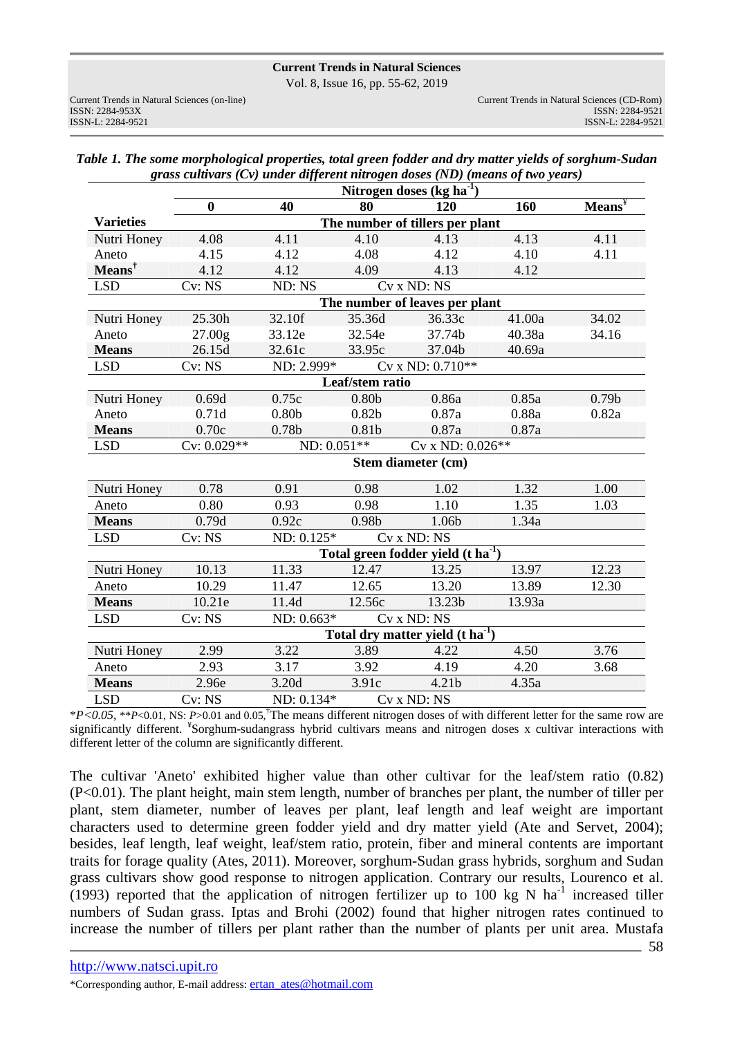Vol. 8, Issue 16, pp. 55-62, 2019

|                  | Nitrogen doses $(kg ha-1)$      |                                 |                   |                                                |        |                                   |  |
|------------------|---------------------------------|---------------------------------|-------------------|------------------------------------------------|--------|-----------------------------------|--|
|                  | $\boldsymbol{0}$                | 40                              | 80                | 120                                            | 160    | $Mean\overline{s}^{\overline{Y}}$ |  |
| <b>Varieties</b> | The number of tillers per plant |                                 |                   |                                                |        |                                   |  |
| Nutri Honey      | 4.08                            | 4.11                            | 4.10              | 4.13                                           | 4.13   | 4.11                              |  |
| Aneto            | 4.15                            | 4.12                            | 4.08              | 4.12                                           | 4.10   | 4.11                              |  |
| $Means†$         | 4.12                            | 4.12                            | 4.09              | 4.13                                           | 4.12   |                                   |  |
| <b>LSD</b>       | Cv: NS                          | $ND: N\overline{S}$             |                   | Cv x ND: NS                                    |        |                                   |  |
|                  |                                 |                                 |                   | The number of leaves per plant                 |        |                                   |  |
| Nutri Honey      | 25.30h                          | 32.10f                          | 35.36d            | 36.33c                                         | 41.00a | 34.02                             |  |
| Aneto            | 27.00g                          | 33.12e                          | 32.54e            | 37.74b                                         | 40.38a | 34.16                             |  |
| <b>Means</b>     | 26.15d                          | 32.61c                          | 33.95c            | 37.04b                                         | 40.69a |                                   |  |
| <b>LSD</b>       | Cv: NS                          | ND: 2.999*                      |                   | Cv x ND: 0.710**                               |        |                                   |  |
|                  |                                 |                                 | Leaf/stem ratio   |                                                |        |                                   |  |
| Nutri Honey      | 0.69d                           | 0.75c                           | 0.80 <sub>b</sub> | 0.86a                                          | 0.85a  | 0.79 <sub>b</sub>                 |  |
| Aneto            | 0.71d                           | 0.80 <sub>b</sub>               | 0.82 <sub>b</sub> | 0.87a                                          | 0.88a  | 0.82a                             |  |
| <b>Means</b>     | 0.70c                           | 0.78b                           | 0.81b             | 0.87a                                          | 0.87a  |                                   |  |
| <b>LSD</b>       | $Cv: 0.029**$                   | Cv x ND: 0.026**<br>ND: 0.051** |                   |                                                |        |                                   |  |
|                  |                                 |                                 |                   | Stem diameter (cm)                             |        |                                   |  |
| Nutri Honey      | 0.78                            | 0.91                            | 0.98              | 1.02                                           | 1.32   | 1.00                              |  |
| Aneto            | 0.80                            | 0.93                            | 0.98              | 1.10                                           | 1.35   | 1.03                              |  |
| <b>Means</b>     | 0.79d                           | 0.92c                           | 0.98b             | 1.06b                                          | 1.34a  |                                   |  |
| <b>LSD</b>       | Cv: NS                          | $ND: 0.125*$<br>Cv x ND: NS     |                   |                                                |        |                                   |  |
|                  |                                 |                                 |                   | Total green fodder yield (t ha <sup>-1</sup> ) |        |                                   |  |
| Nutri Honey      | 10.13                           | 11.33                           | 12.47             | 13.25                                          | 13.97  | 12.23                             |  |
| Aneto            | 10.29                           | 11.47                           | 12.65             | 13.20                                          | 13.89  | 12.30                             |  |
| <b>Means</b>     | 10.21e                          | 11.4d                           | 12.56c            | 13.23b                                         | 13.93a |                                   |  |
| <b>LSD</b>       | Cv: NS                          | $ND: 0.663*$                    |                   | Cv x ND: NS                                    |        |                                   |  |
|                  |                                 |                                 |                   | Total dry matter yield $(t \tilde{h} a^{-1})$  |        |                                   |  |
| Nutri Honey      | 2.99                            | 3.22                            | 3.89              | 4.22                                           | 4.50   | 3.76                              |  |
| Aneto            | 2.93                            | 3.17                            | 3.92              | 4.19                                           | 4.20   | 3.68                              |  |
| <b>Means</b>     | 2.96e                           | 3.20d                           | 3.91c             | 4.21 <sub>b</sub>                              | 4.35a  |                                   |  |
| <b>LSD</b>       | Cv: NS                          | ND: 0.134*                      |                   | Cv x ND: NS                                    |        |                                   |  |

| Table 1. The some morphological properties, total green fodder and dry matter yields of sorghum-Sudan |  |
|-------------------------------------------------------------------------------------------------------|--|
| grass cultivars $(Cv)$ under different nitrogen doses $(ND)$ (means of two years)                     |  |

\**P<0.05*, \*\**P*<0.01, NS: *P*>0.01 and 0.05,†The means different nitrogen doses of with different letter for the same row are significantly different. <sup>¥</sup>Sorghum-sudangrass hybrid cultivars means and nitrogen doses x cultivar interactions with different letter of the column are significantly different.

The cultivar 'Aneto' exhibited higher value than other cultivar for the leaf/stem ratio (0.82) (P<0.01). The plant height, main stem length, number of branches per plant, the number of tiller per plant, stem diameter, number of leaves per plant, leaf length and leaf weight are important characters used to determine green fodder yield and dry matter yield (Ate and Servet, 2004); besides, leaf length, leaf weight, leaf/stem ratio, protein, fiber and mineral contents are important traits for forage quality (Ates, 2011). Moreover, sorghum-Sudan grass hybrids, sorghum and Sudan grass cultivars show good response to nitrogen application. Contrary our results, Lourenco et al. (1993) reported that the application of nitrogen fertilizer up to 100 kg N ha<sup>-1</sup> increased tiller numbers of Sudan grass. Iptas and Brohi (2002) found that higher nitrogen rates continued to increase the number of tillers per plant rather than the number of plants per unit area. Mustafa

\*Corresponding author, E-mail address: ertan\_ates@hotmail.com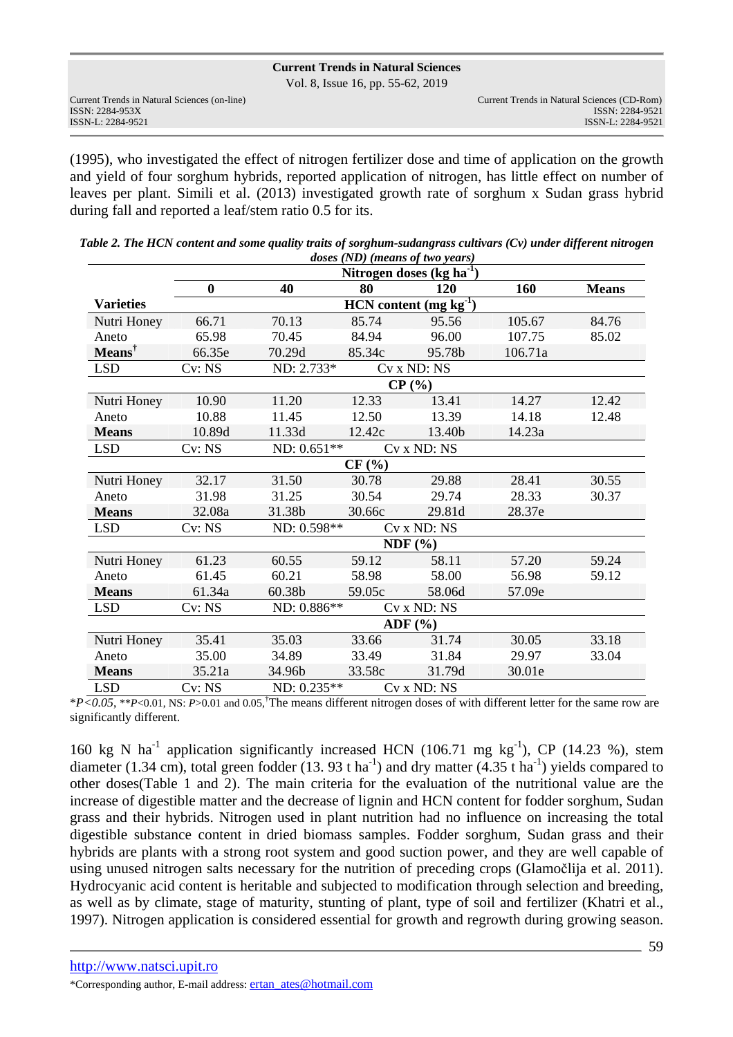Vol. 8, Issue 16, pp. 55-62, 2019

|                                              | VOI. 0, ISSUE TO, $pp. JJ-UZ$ , $ZUIJ$      |
|----------------------------------------------|---------------------------------------------|
| Current Trends in Natural Sciences (on-line) | Current Trends in Natural Sciences (CD-Rom) |
| ISSN: 2284-953X                              | ISSN: 2284-9521                             |
| ISSN-L: 2284-9521                            | ISSN-L: 2284-9521                           |

(1995), who investigated the effect of nitrogen fertilizer dose and time of application on the growth and yield of four sorghum hybrids, reported application of nitrogen, has little effect on number of leaves per plant. Simili et al. (2013) investigated growth rate of sorghum x Sudan grass hybrid during fall and reported a leaf/stem ratio 0.5 for its.

|                  |          |                                      | doses (ND) (means of two years) |             |         |              |  |  |
|------------------|----------|--------------------------------------|---------------------------------|-------------|---------|--------------|--|--|
|                  |          | Nitrogen doses (kg ha $^{-1}$ )      |                                 |             |         |              |  |  |
|                  | $\bf{0}$ | 40                                   | 80                              | <b>120</b>  | 160     | <b>Means</b> |  |  |
| <b>Varieties</b> |          | $HCN$ content (mg kg <sup>-1</sup> ) |                                 |             |         |              |  |  |
| Nutri Honey      | 66.71    | 70.13                                | 85.74                           | 95.56       | 105.67  | 84.76        |  |  |
| Aneto            | 65.98    | 70.45                                | 84.94                           | 96.00       | 107.75  | 85.02        |  |  |
| $Means†$         | 66.35e   | 70.29d                               | 85.34c                          | 95.78b      | 106.71a |              |  |  |
| <b>LSD</b>       | Cv: NS   | ND: 2.733*                           |                                 | Cv x ND: NS |         |              |  |  |
|                  | $CP($ %) |                                      |                                 |             |         |              |  |  |
| Nutri Honey      | 10.90    | 11.20                                | 12.33                           | 13.41       | 14.27   | 12.42        |  |  |
| Aneto            | 10.88    | 11.45                                | 12.50                           | 13.39       | 14.18   | 12.48        |  |  |
| <b>Means</b>     | 10.89d   | 11.33d                               | 12.42c                          | 13.40b      | 14.23a  |              |  |  |
| <b>LSD</b>       | Cv: NS   | ND: 0.651**                          |                                 | Cv x ND: NS |         |              |  |  |
|                  |          |                                      | CF(%)                           |             |         |              |  |  |
| Nutri Honey      | 32.17    | 31.50                                | 30.78                           | 29.88       | 28.41   | 30.55        |  |  |
| Aneto            | 31.98    | 31.25                                | 30.54                           | 29.74       | 28.33   | 30.37        |  |  |
| <b>Means</b>     | 32.08a   | 31.38b                               | 30.66c                          | 29.81d      | 28.37e  |              |  |  |
| <b>LSD</b>       | Cv: NS   | ND: 0.598**<br>Cv x ND: NS           |                                 |             |         |              |  |  |
|                  |          | NDF(%)                               |                                 |             |         |              |  |  |
| Nutri Honey      | 61.23    | 60.55                                | 59.12                           | 58.11       | 57.20   | 59.24        |  |  |
| Aneto            | 61.45    | 60.21                                | 58.98                           | 58.00       | 56.98   | 59.12        |  |  |
| <b>Means</b>     | 61.34a   | 60.38b                               | 59.05c                          | 58.06d      | 57.09e  |              |  |  |
| <b>LSD</b>       | Cv: NS   | ND: 0.886**                          |                                 | Cv x ND: NS |         |              |  |  |
| ADF $(\% )$      |          |                                      |                                 |             |         |              |  |  |
| Nutri Honey      | 35.41    | 35.03                                | 33.66                           | 31.74       | 30.05   | 33.18        |  |  |
| Aneto            | 35.00    | 34.89                                | 33.49                           | 31.84       | 29.97   | 33.04        |  |  |
| <b>Means</b>     | 35.21a   | 34.96b                               | 33.58c                          | 31.79d      | 30.01e  |              |  |  |
| <b>LSD</b>       | Cv: NS   | ND: 0.235**                          |                                 | Cv x ND: NS |         |              |  |  |

| Table 2. The HCN content and some quality traits of sorghum-sudangrass cultivars $(Cv)$ under different nitrogen |
|------------------------------------------------------------------------------------------------------------------|
| <i>doses (ND)</i> ( <i>means of two years</i> )                                                                  |

\**P<0.05*, \*\**P*<0.01, NS: *P*>0.01 and 0.05,†The means different nitrogen doses of with different letter for the same row are significantly different.

160 kg N ha<sup>-1</sup> application significantly increased HCN (106.71 mg kg<sup>-1</sup>), CP (14.23 %), stem diameter (1.34 cm), total green fodder (13. 93 t ha<sup>-1</sup>) and dry matter (4.35 t ha<sup>-1</sup>) yields compared to other doses(Table 1 and 2). The main criteria for the evaluation of the nutritional value are the increase of digestible matter and the decrease of lignin and HCN content for fodder sorghum, Sudan grass and their hybrids. Nitrogen used in plant nutrition had no influence on increasing the total digestible substance content in dried biomass samples. Fodder sorghum, Sudan grass and their hybrids are plants with a strong root system and good suction power, and they are well capable of using unused nitrogen salts necessary for the nutrition of preceding crops (Glamočlija et al. 2011). Hydrocyanic acid content is heritable and subjected to modification through selection and breeding, as well as by climate, stage of maturity, stunting of plant, type of soil and fertilizer (Khatri et al., 1997). Nitrogen application is considered essential for growth and regrowth during growing season.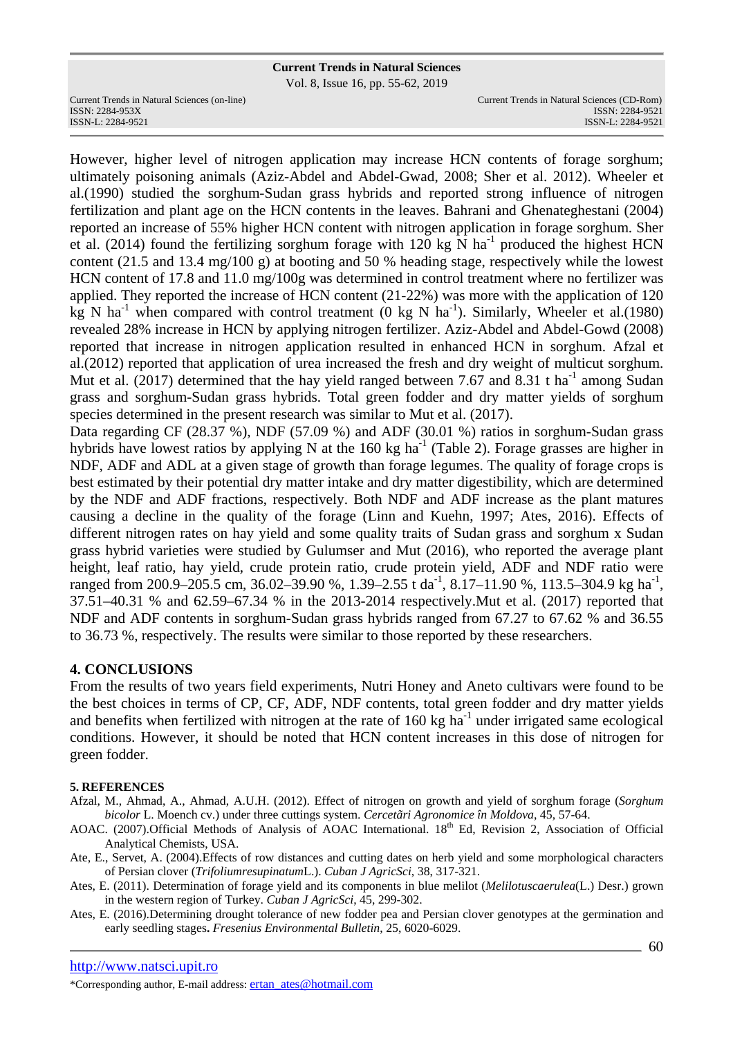Vol. 8, Issue 16, pp. 55-62, 2019

Current Trends in Natural Sciences (on-line) Current Trends in Natural Sciences (CD-Rom)

However, higher level of nitrogen application may increase HCN contents of forage sorghum; ultimately poisoning animals (Aziz-Abdel and Abdel-Gwad, 2008; Sher et al. 2012). Wheeler et al.(1990) studied the sorghum-Sudan grass hybrids and reported strong influence of nitrogen fertilization and plant age on the HCN contents in the leaves. Bahrani and Ghenateghestani (2004) reported an increase of 55% higher HCN content with nitrogen application in forage sorghum. Sher et al. (2014) found the fertilizing sorghum forage with 120 kg N ha<sup>-1</sup> produced the highest HCN content (21.5 and 13.4 mg/100 g) at booting and 50 % heading stage, respectively while the lowest HCN content of 17.8 and 11.0 mg/100g was determined in control treatment where no fertilizer was applied. They reported the increase of HCN content (21-22%) was more with the application of 120 kg N ha<sup>-1</sup> when compared with control treatment (0 kg N ha<sup>-1</sup>). Similarly, Wheeler et al.(1980) revealed 28% increase in HCN by applying nitrogen fertilizer. Aziz-Abdel and Abdel-Gowd (2008) reported that increase in nitrogen application resulted in enhanced HCN in sorghum. Afzal et al.(2012) reported that application of urea increased the fresh and dry weight of multicut sorghum. Mut et al. (2017) determined that the hay yield ranged between 7.67 and 8.31 t ha<sup>-1</sup> among Sudan grass and sorghum-Sudan grass hybrids. Total green fodder and dry matter yields of sorghum species determined in the present research was similar to Mut et al. (2017).

Data regarding CF (28.37 %), NDF (57.09 %) and ADF (30.01 %) ratios in sorghum-Sudan grass hybrids have lowest ratios by applying N at the 160 kg ha<sup>-1</sup> (Table 2). Forage grasses are higher in NDF, ADF and ADL at a given stage of growth than forage legumes. The quality of forage crops is best estimated by their potential dry matter intake and dry matter digestibility, which are determined by the NDF and ADF fractions, respectively. Both NDF and ADF increase as the plant matures causing a decline in the quality of the forage (Linn and Kuehn, 1997; Ates, 2016). Effects of different nitrogen rates on hay yield and some quality traits of Sudan grass and sorghum x Sudan grass hybrid varieties were studied by Gulumser and Mut (2016), who reported the average plant height, leaf ratio, hay yield, crude protein ratio, crude protein yield, ADF and NDF ratio were ranged from 200.9–205.5 cm, 36.02–39.90 %, 1.39–2.55 t da<sup>-1</sup>, 8.17–11.90 %, 113.5–304.9 kg ha<sup>-1</sup>, 37.51–40.31 % and 62.59–67.34 % in the 2013-2014 respectively.Mut et al. (2017) reported that NDF and ADF contents in sorghum-Sudan grass hybrids ranged from 67.27 to 67.62 % and 36.55 to 36.73 %, respectively. The results were similar to those reported by these researchers.

# **4. CONCLUSIONS**

From the results of two years field experiments, Nutri Honey and Aneto cultivars were found to be the best choices in terms of CP, CF, ADF, NDF contents, total green fodder and dry matter yields and benefits when fertilized with nitrogen at the rate of  $160 \text{ kg}$  ha<sup>-1</sup> under irrigated same ecological conditions. However, it should be noted that HCN content increases in this dose of nitrogen for green fodder.

## **5. REFERENCES**

- Afzal, M., Ahmad, A., Ahmad, A.U.H. (2012). Effect of nitrogen on growth and yield of sorghum forage (*Sorghum bicolor* L. Moench cv.) under three cuttings system. *Cercetãri Agronomice în Moldova*, 45, 57-64.
- AOAC. (2007).Official Methods of Analysis of AOAC International. 18<sup>th</sup> Ed, Revision 2, Association of Official Analytical Chemists, USA.
- Ate, E., Servet, A. (2004).Effects of row distances and cutting dates on herb yield and some morphological characters of Persian clover (*Trifoliumresupinatum*L.). *Cuban J AgricSci*, 38, 317-321.
- Ates, E. (2011). Determination of forage yield and its components in blue melilot (*Melilotuscaerulea*(L.) Desr.) grown in the western region of Turkey. *Cuban J AgricSci*, 45, 299-302.
- Ates, E. (2016).Determining drought tolerance of new fodder pea and Persian clover genotypes at the germination and early seedling stages**.** *Fresenius Environmental Bulletin*, 25, 6020-6029.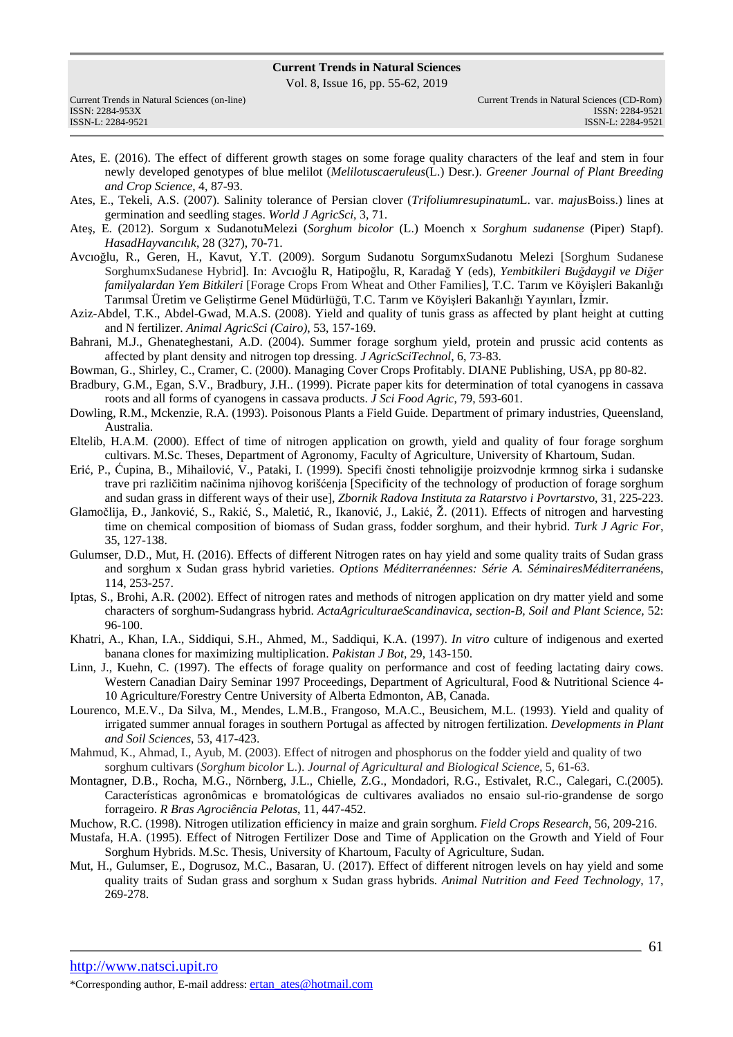Vol. 8, Issue 16, pp. 55-62, 2019

| Current Trends in Natural Sciences (on-line) | Current Trends in Natural Sciences (CD-Rom) |
|----------------------------------------------|---------------------------------------------|
| ISSN: 2284-953X                              | ISSN: 2284-9521                             |
| ISSN-L: 2284-9521                            | ISSN-L: 2284-9521                           |

- Ates, E. (2016). The effect of different growth stages on some forage quality characters of the leaf and stem in four newly developed genotypes of blue melilot (*Melilotuscaeruleus*(L.) Desr.). *Greener Journal of Plant Breeding and Crop Science*, 4, 87-93.
- Ates, E., Tekeli, A.S. (2007). Salinity tolerance of Persian clover (*Trifoliumresupinatum*L. var. *majus*Boiss.) lines at germination and seedling stages. *World J AgricSci*, 3, 71.
- Ateş, E. (2012). Sorgum x SudanotuMelezi (*Sorghum bicolor* (L.) Moench x *Sorghum sudanense* (Piper) Stapf). *HasadHayvancılık*, 28 (327), 70-71.
- Avcıoğlu, R., Geren, H., Kavut, Y.T. (2009). Sorgum Sudanotu SorgumxSudanotu Melezi [Sorghum Sudanese SorghumxSudanese Hybrid]. In: Avcıoğlu R, Hatipoğlu, R, Karadağ Y (eds), *Yembitkileri Buğdaygil ve Diğer familyalardan Yem Bitkileri* [Forage Crops From Wheat and Other Families], T.C. Tarım ve Köyişleri Bakanlığı Tarımsal Üretim ve Geliştirme Genel Müdürlüğü, T.C. Tarım ve Köyişleri Bakanlığı Yayınları, İzmir.
- Aziz-Abdel, T.K., Abdel-Gwad, M.A.S. (2008). Yield and quality of tunis grass as affected by plant height at cutting and N fertilizer. *Animal AgricSci (Cairo)*, 53, 157-169.
- Bahrani, M.J., Ghenateghestani, A.D. (2004). Summer forage sorghum yield, protein and prussic acid contents as affected by plant density and nitrogen top dressing. *J AgricSciTechnol*, 6, 73-83.
- Bowman, G., Shirley, C., Cramer, C. (2000). Managing Cover Crops Profitably. DIANE Publishing, USA, pp 80-82.
- Bradbury, G.M., Egan, S.V., Bradbury, J.H.. (1999). Picrate paper kits for determination of total cyanogens in cassava roots and all forms of cyanogens in cassava products. *J Sci Food Agric*, 79, 593-601.
- Dowling, R.M., Mckenzie, R.A. (1993). Poisonous Plants a Field Guide. Department of primary industries, Queensland, Australia.
- Eltelib, H.A.M. (2000). Effect of time of nitrogen application on growth, yield and quality of four forage sorghum cultivars. M.Sc. Theses, Department of Agronomy, Faculty of Agriculture, University of Khartoum, Sudan.
- Erić, P., Ćupina, B., Mihailović, V., Pataki, I. (1999). Specifi čnosti tehnoligije proizvodnje krmnog sirka i sudanske trave pri različitim načinima njihovog korišćenja [Specificity of the technology of production of forage sorghum and sudan grass in different ways of their use], *Zbornik Radova Instituta za Ratarstvo i Povrtarstvo*, 31, 225-223.
- Glamočlija, Đ., Janković, S., Rakić, S., Maletić, R., Ikanović, J., Lakić, Ž. (2011). Effects of nitrogen and harvesting time on chemical composition of biomass of Sudan grass, fodder sorghum, and their hybrid. *Turk J Agric For*, 35, 127-138.
- Gulumser, D.D., Mut, H. (2016). Effects of different Nitrogen rates on hay yield and some quality traits of Sudan grass and sorghum x Sudan grass hybrid varieties. *Options Méditerranéennes: Série A. SéminairesMéditerranéen*s, 114, 253-257.
- Iptas, S., Brohi, A.R. (2002). Effect of nitrogen rates and methods of nitrogen application on dry matter yield and some characters of sorghum-Sudangrass hybrid. *ActaAgriculturaeScandinavica, section-B, Soil and Plant Science,* 52: 96-100.
- Khatri, A., Khan, I.A., Siddiqui, S.H., Ahmed, M., Saddiqui, K.A. (1997). *In vitro* culture of indigenous and exerted banana clones for maximizing multiplication. *Pakistan J Bot,* 29, 143-150.
- Linn, J., Kuehn, C. (1997). The effects of forage quality on performance and cost of feeding lactating dairy cows. Western Canadian Dairy Seminar 1997 Proceedings, Department of Agricultural, Food & Nutritional Science 4-10 Agriculture/Forestry Centre University of Alberta Edmonton, AB, Canada.
- Lourenco, M.E.V., Da Silva, M., Mendes, L.M.B., Frangoso, M.A.C., Beusichem, M.L. (1993). Yield and quality of irrigated summer annual forages in southern Portugal as affected by nitrogen fertilization. *Developments in Plant and Soil Sciences*, 53, 417-423.
- Mahmud, K., Ahmad, I., Ayub, M. (2003). Effect of nitrogen and phosphorus on the fodder yield and quality of two sorghum cultivars (*Sorghum bicolor* L.). *Journal of Agricultural and Biological Science,* 5, 61-63.
- Montagner, D.B., Rocha, M.G., Nörnberg, J.L., Chielle, Z.G., Mondadori, R.G., Estivalet, R.C., Calegari, C.(2005). Características agronômicas e bromatológicas de cultivares avaliados no ensaio sul-rio-grandense de sorgo forrageiro. *R Bras Agrociência Pelotas*, 11, 447-452.
- Muchow, R.C. (1998). Nitrogen utilization efficiency in maize and grain sorghum. *Field Crops Research*, 56, 209-216.
- Mustafa, H.A. (1995). Effect of Nitrogen Fertilizer Dose and Time of Application on the Growth and Yield of Four Sorghum Hybrids. M.Sc. Thesis, University of Khartoum, Faculty of Agriculture, Sudan.
- Mut, H., Gulumser, E., Dogrusoz, M.C., Basaran, U. (2017). Effect of different nitrogen levels on hay yield and some quality traits of Sudan grass and sorghum x Sudan grass hybrids. *Animal Nutrition and Feed Technology*, 17, 269-278.

http://www.natsci.upit.ro \*Corresponding author, E-mail address: ertan\_ates@hotmail.com